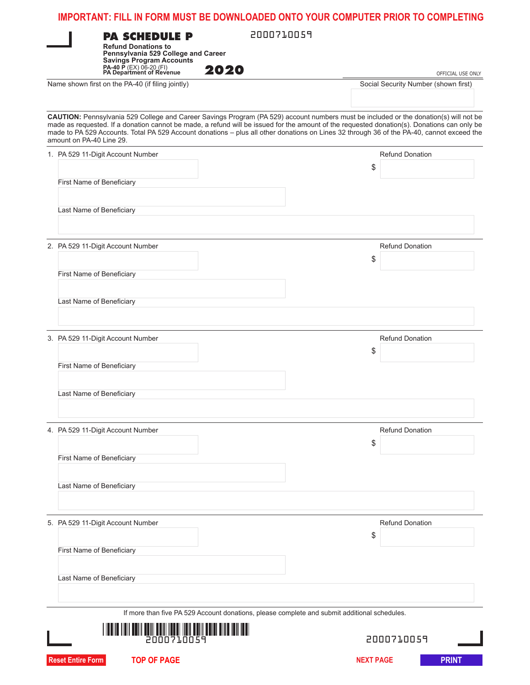|                          | <b>PA SCHEDULE P</b><br><b>Refund Donations to</b><br>Pennsylvania 529 College and Career<br><b>Savings Program Accounts</b><br>PA-40 P (EX) 06-20 (FI)<br>PA Department of Revenue | 2000710059<br>2020                                                                                                                                                                                                                                                                                                                                                                                                                | OFFICIAL USE ONLY                    |
|--------------------------|-------------------------------------------------------------------------------------------------------------------------------------------------------------------------------------|-----------------------------------------------------------------------------------------------------------------------------------------------------------------------------------------------------------------------------------------------------------------------------------------------------------------------------------------------------------------------------------------------------------------------------------|--------------------------------------|
|                          | Name shown first on the PA-40 (if filing jointly)                                                                                                                                   |                                                                                                                                                                                                                                                                                                                                                                                                                                   | Social Security Number (shown first) |
|                          | amount on PA-40 Line 29.                                                                                                                                                            | CAUTION: Pennsylvania 529 College and Career Savings Program (PA 529) account numbers must be included or the donation(s) will not be<br>made as requested. If a donation cannot be made, a refund will be issued for the amount of the requested donation(s). Donations can only be<br>made to PA 529 Accounts. Total PA 529 Account donations - plus all other donations on Lines 32 through 36 of the PA-40, cannot exceed the |                                      |
|                          | 1. PA 529 11-Digit Account Number                                                                                                                                                   |                                                                                                                                                                                                                                                                                                                                                                                                                                   | <b>Refund Donation</b><br>\$         |
|                          | First Name of Beneficiary                                                                                                                                                           |                                                                                                                                                                                                                                                                                                                                                                                                                                   |                                      |
|                          | Last Name of Beneficiary                                                                                                                                                            |                                                                                                                                                                                                                                                                                                                                                                                                                                   |                                      |
|                          | 2. PA 529 11-Digit Account Number                                                                                                                                                   |                                                                                                                                                                                                                                                                                                                                                                                                                                   | <b>Refund Donation</b>               |
|                          | First Name of Beneficiary                                                                                                                                                           |                                                                                                                                                                                                                                                                                                                                                                                                                                   | \$                                   |
|                          | Last Name of Beneficiary                                                                                                                                                            |                                                                                                                                                                                                                                                                                                                                                                                                                                   |                                      |
|                          | 3. PA 529 11-Digit Account Number                                                                                                                                                   |                                                                                                                                                                                                                                                                                                                                                                                                                                   | <b>Refund Donation</b><br>\$         |
|                          | First Name of Beneficiary                                                                                                                                                           |                                                                                                                                                                                                                                                                                                                                                                                                                                   |                                      |
|                          | Last Name of Beneficiary                                                                                                                                                            |                                                                                                                                                                                                                                                                                                                                                                                                                                   |                                      |
|                          | 4. PA 529 11-Digit Account Number                                                                                                                                                   |                                                                                                                                                                                                                                                                                                                                                                                                                                   | <b>Refund Donation</b><br>\$         |
|                          | First Name of Beneficiary                                                                                                                                                           |                                                                                                                                                                                                                                                                                                                                                                                                                                   |                                      |
|                          | Last Name of Beneficiary                                                                                                                                                            |                                                                                                                                                                                                                                                                                                                                                                                                                                   |                                      |
|                          | 5. PA 529 11-Digit Account Number                                                                                                                                                   |                                                                                                                                                                                                                                                                                                                                                                                                                                   | <b>Refund Donation</b>               |
|                          | First Name of Beneficiary                                                                                                                                                           |                                                                                                                                                                                                                                                                                                                                                                                                                                   | \$                                   |
|                          | Last Name of Beneficiary                                                                                                                                                            |                                                                                                                                                                                                                                                                                                                                                                                                                                   |                                      |
|                          |                                                                                                                                                                                     | If more than five PA 529 Account donations, please complete and submit additional schedules.                                                                                                                                                                                                                                                                                                                                      |                                      |
|                          |                                                                                                                                                                                     |                                                                                                                                                                                                                                                                                                                                                                                                                                   | 2000710059                           |
| <b>Reset Entire Form</b> | <b>TOP OF PAGE</b>                                                                                                                                                                  |                                                                                                                                                                                                                                                                                                                                                                                                                                   | <b>NEXT PAGE</b><br><b>PRINT</b>     |